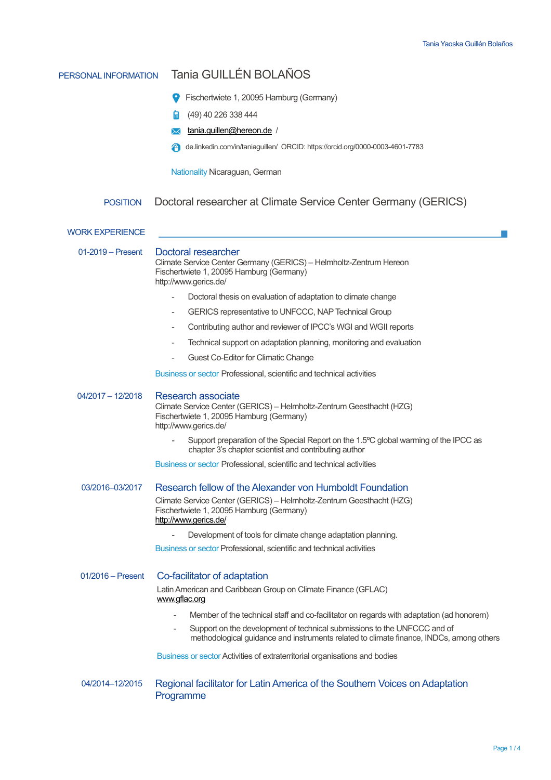| PERSONAL INFORMATION   | Tania GUILLÉN BOLAÑOS                                                                                                                                                                           |  |  |  |  |  |
|------------------------|-------------------------------------------------------------------------------------------------------------------------------------------------------------------------------------------------|--|--|--|--|--|
|                        | Fischertwiete 1, 20095 Hamburg (Germany)                                                                                                                                                        |  |  |  |  |  |
|                        | (49) 40 226 338 444<br>圖                                                                                                                                                                        |  |  |  |  |  |
|                        | tania.guillen@hereon.de /<br>⋉                                                                                                                                                                  |  |  |  |  |  |
|                        | de.linkedin.com/in/taniaguillen/ ORCID: https://orcid.org/0000-0003-4601-7783                                                                                                                   |  |  |  |  |  |
|                        |                                                                                                                                                                                                 |  |  |  |  |  |
|                        | Nationality Nicaraguan, German                                                                                                                                                                  |  |  |  |  |  |
| <b>POSITION</b>        | Doctoral researcher at Climate Service Center Germany (GERICS)                                                                                                                                  |  |  |  |  |  |
| <b>WORK EXPERIENCE</b> |                                                                                                                                                                                                 |  |  |  |  |  |
| $01-2019$ – Present    | Doctoral researcher<br>Climate Service Center Germany (GERICS) - Helmholtz-Zentrum Hereon<br>Fischertwiete 1, 20095 Hamburg (Germany)<br>http://www.gerics.de/                                  |  |  |  |  |  |
|                        | Doctoral thesis on evaluation of adaptation to climate change                                                                                                                                   |  |  |  |  |  |
|                        | GERICS representative to UNFCCC, NAP Technical Group                                                                                                                                            |  |  |  |  |  |
|                        | Contributing author and reviewer of IPCC's WGI and WGII reports<br>٠                                                                                                                            |  |  |  |  |  |
|                        | Technical support on adaptation planning, monitoring and evaluation                                                                                                                             |  |  |  |  |  |
|                        | Guest Co-Editor for Climatic Change                                                                                                                                                             |  |  |  |  |  |
|                        | Business or sector Professional, scientific and technical activities                                                                                                                            |  |  |  |  |  |
| $04/2017 - 12/2018$    | <b>Research associate</b><br>Climate Service Center (GERICS) - Helmholtz-Zentrum Geesthacht (HZG)<br>Fischertwiete 1, 20095 Hamburg (Germany)<br>http://www.gerics.de/                          |  |  |  |  |  |
|                        | Support preparation of the Special Report on the 1.5°C global warming of the IPCC as<br>chapter 3's chapter scientist and contributing author                                                   |  |  |  |  |  |
|                        | Business or sector Professional, scientific and technical activities                                                                                                                            |  |  |  |  |  |
| 03/2016-03/2017        | Research fellow of the Alexander von Humboldt Foundation                                                                                                                                        |  |  |  |  |  |
|                        | Climate Service Center (GERICS) - Helmholtz-Zentrum Geesthacht (HZG)<br>Fischertwiete 1, 20095 Hamburg (Germany)<br>http://www.gerics.de/                                                       |  |  |  |  |  |
|                        | Development of tools for climate change adaptation planning.                                                                                                                                    |  |  |  |  |  |
|                        | Business or sector Professional, scientific and technical activities                                                                                                                            |  |  |  |  |  |
| $01/2016$ – Present    | Co-facilitator of adaptation<br>Latin American and Caribbean Group on Climate Finance (GFLAC)<br>www.gflac.org                                                                                  |  |  |  |  |  |
|                        | Member of the technical staff and co-facilitator on regards with adaptation (ad honorem)<br>$\overline{\phantom{a}}$                                                                            |  |  |  |  |  |
|                        | Support on the development of technical submissions to the UNFCCC and of<br>$\overline{\phantom{a}}$<br>methodological guidance and instruments related to climate finance, INDCs, among others |  |  |  |  |  |
|                        | Business or sector Activities of extraterritorial organisations and bodies                                                                                                                      |  |  |  |  |  |
| 04/2014-12/2015        | Regional facilitator for Latin America of the Southern Voices on Adaptation<br>Programme                                                                                                        |  |  |  |  |  |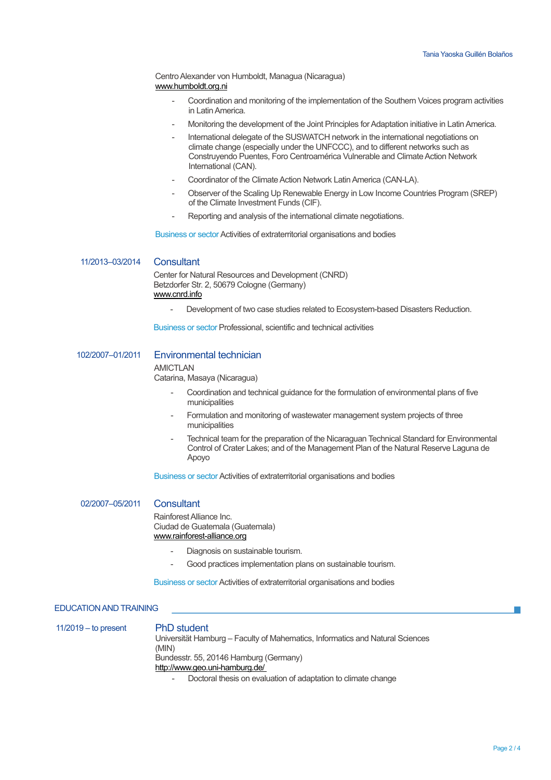Centro Alexander von Humboldt, Managua (Nicaragua) www.humboldt.org.ni

- Coordination and monitoring of the implementation of the Southern Voices program activities in Latin America.
- Monitoring the development of the Joint Principles for Adaptation initiative in Latin America.
- International delegate of the SUSWATCH network in the international negotiations on climate change (especially under the UNFCCC), and to different networks such as Construyendo Puentes, Foro Centroamérica Vulnerable and Climate Action Network International (CAN).
- Coordinator of the Climate Action Network Latin America (CAN-LA).
- Observer of the Scaling Up Renewable Energy in Low Income Countries Program (SREP) of the Climate Investment Funds (CIF).
- Reporting and analysis of the international climate negotiations.

Business or sector Activities of extraterritorial organisations and bodies

11/2013–03/2014 Consultant

Center for Natural Resources and Development (CNRD) Betzdorfer Str. 2, 50679 Cologne (Germany) www.cnrd.info

Development of two case studies related to Ecosystem-based Disasters Reduction.

Business or sector Professional, scientific and technical activities

## 102/2007–01/2011 Environmental technician

#### **AMICTI AN**

Catarina, Masaya (Nicaragua)

- Coordination and technical guidance for the formulation of environmental plans of five municipalities
- Formulation and monitoring of wastewater management system projects of three municipalities
- Technical team for the preparation of the Nicaraguan Technical Standard for Environmental Control of Crater Lakes; and of the Management Plan of the Natural Reserve Laguna de Apoyo

Business or sector Activities of extraterritorial organisations and bodies

02/2007–05/2011 Consultant

Rainforest Alliance Inc. Ciudad de Guatemala (Guatemala) www.rainforest-alliance.org

- Diagnosis on sustainable tourism.
- Good practices implementation plans on sustainable tourism.

Business or sector Activities of extraterritorial organisations and bodies

### EDUCATION AND TRAINING

11/2019 – to present PhD student Universität Hamburg – Faculty of Mahematics, Informatics and Natural Sciences (MIN) Bundesstr. 55, 20146 Hamburg (Germany) http://www.geo.uni-hamburg.de/

- Doctoral thesis on evaluation of adaptation to climate change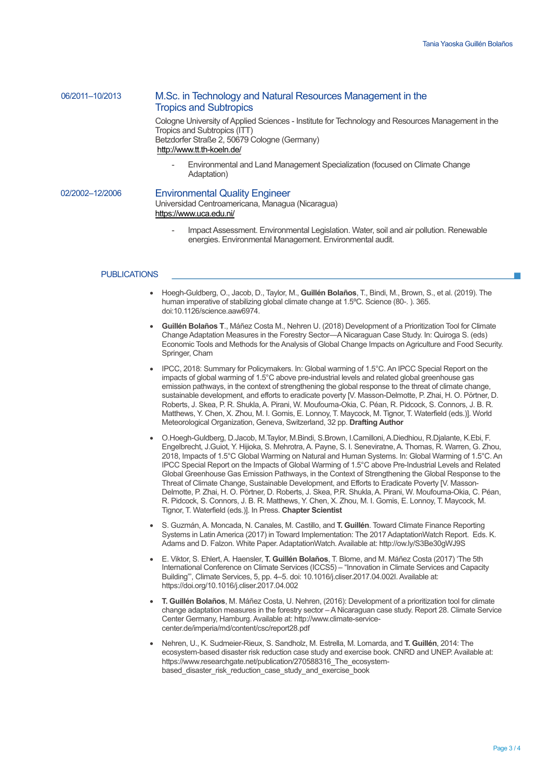# 06/2011–10/2013 M.Sc. in Technology and Natural Resources Management in the Tropics and Subtropics

Cologne University of Applied Sciences - Institute for Technology and Resources Management in the Tropics and Subtropics (ITT) Betzdorfer Straße 2, 50679 Cologne (Germany) http://www.tt.th-koeln.de/

- Environmental and Land Management Specialization (focused on Climate Change Adaptation)

### 02/2002–12/2006 Environmental Quality Engineer

Universidad Centroamericana, Managua (Nicaragua) https://www.uca.edu.ni/

- Impact Assessment. Environmental Legislation. Water, soil and air pollution. Renewable energies. Environmental Management. Environmental audit.

### PUBLICATIONS

- Hoegh-Guldberg, O., Jacob, D., Taylor, M., **Guillén Bolaños**, T., Bindi, M., Brown, S., et al. (2019). The human imperative of stabilizing global climate change at 1.5ºC. Science (80-. ). 365. doi:10.1126/science.aaw6974.
- **Guillén Bolaños T**., Máñez Costa M., Nehren U. (2018) Development of a Prioritization Tool for Climate Change Adaptation Measures in the Forestry Sector—A Nicaraguan Case Study. In: Quiroga S. (eds) Economic Tools and Methods for the Analysis of Global Change Impacts on Agriculture and Food Security. Springer, Cham
- IPCC, 2018: Summary for Policymakers. In: Global warming of 1.5°C. An IPCC Special Report on the impacts of global warming of 1.5°C above pre-industrial levels and related global greenhouse gas emission pathways, in the context of strengthening the global response to the threat of climate change, sustainable development, and efforts to eradicate poverty [V. Masson-Delmotte, P. Zhai, H. O. Pörtner, D. Roberts, J. Skea, P. R. Shukla, A. Pirani, W. Moufouma-Okia, C. Péan, R. Pidcock, S. Connors, J. B. R. Matthews, Y. Chen, X. Zhou, M. I. Gomis, E. Lonnoy, T. Maycock, M. Tignor, T. Waterfield (eds.)]. World Meteorological Organization, Geneva, Switzerland, 32 pp. **Drafting Author**
- O.Hoegh-Guldberg, D.Jacob, M.Taylor, M.Bindi, S.Brown, I.Camilloni, A.Diedhiou, R.Djalante, K.Ebi, F. Engelbrecht, J.Guiot, Y. Hijioka, S. Mehrotra, A. Payne, S. I. Seneviratne, A. Thomas, R. Warren, G. Zhou, 2018, Impacts of 1.5°C Global Warming on Natural and Human Systems. In: Global Warming of 1.5°C. An IPCC Special Report on the Impacts of Global Warming of 1.5°C above Pre-Industrial Levels and Related Global Greenhouse Gas Emission Pathways, in the Context of Strengthening the Global Response to the Threat of Climate Change, Sustainable Development, and Efforts to Eradicate Poverty [V. Masson-Delmotte, P. Zhai, H. O. Pörtner, D. Roberts, J. Skea, P.R. Shukla, A. Pirani, W. Moufouma-Okia, C. Péan, R. Pidcock, S. Connors, J. B. R. Matthews, Y. Chen, X. Zhou, M. I. Gomis, E. Lonnoy, T. Maycock, M. Tignor, T. Waterfield (eds.)]. In Press. **Chapter Scientist**
- S. Guzmán, A. Moncada, N. Canales, M. Castillo, and **T. Guillén**. Toward Climate Finance Reporting Systems in Latin America (2017) in Toward Implementation: The 2017 AdaptationWatch Report. Eds. K. Adams and D. Falzon. White Paper. AdaptationWatch. Available at: http://ow.ly/S3Be30gWJ9S
- E. Viktor, S. Ehlert, A. Haensler, **T. Guillén Bolaños**, T. Blome, and M. Máñez Costa (2017) 'The 5th International Conference on Climate Services (ICCS5) – "Innovation in Climate Services and Capacity Building"', Climate Services, 5, pp. 4–5. doi: 10.1016/j.cliser.2017.04.002I.Available at: https://doi.org/10.1016/j.cliser.2017.04.002
- **T. Guillén Bolaños**, M. Máñez Costa, U. Nehren, (2016): Development of a prioritization tool for climate change adaptation measures in the forestry sector –A Nicaraguan case study. Report 28. Climate Service Center Germany, Hamburg. Available at: http://www.climate-servicecenter.de/imperia/md/content/csc/report28.pdf
- Nehren, U., K. Sudmeier-Rieux, S. Sandholz, M. Estrella, M. Lomarda, and **T. Guillén**, 2014: The ecosystem-based disaster risk reduction case study and exercise book. CNRD and UNEP.Available at: https://www.researchgate.net/publication/270588316\_The\_ecosystembased disaster risk reduction case study and exercise book